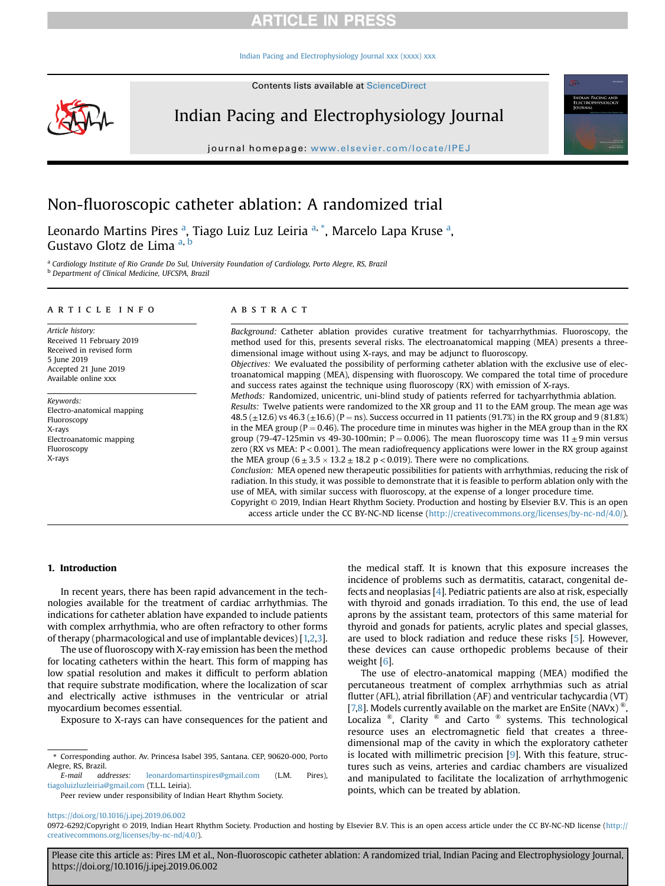[Indian Pacing and Electrophysiology Journal xxx \(xxxx\) xxx](https://doi.org/10.1016/j.ipej.2019.06.002)



Indian Pacing and Electrophysiology Journal

journal homepage: <www.elsevier.com/locate/IPEJ>

# Non-fluoroscopic catheter ablation: A randomized trial

Leonardo Martins Pires <sup>a</sup>, Tiago Luiz Luz Leiria <sup>a, \*</sup>, Marcelo Lapa Kruse <sup>a</sup>, Gustavo Glotz de Lima <sup>a, b</sup>

<sup>a</sup> Cardiology Institute of Rio Grande Do Sul, University Foundation of Cardiology, Porto Alegre, RS, Brazil <sup>b</sup> Department of Clinical Medicine, UFCSPA, Brazil

### article info

Article history: Received 11 February 2019 Received in revised form 5 June 2019 Accepted 21 June 2019 Available online xxx

Keywords: Electro-anatomical mapping Fluoroscopy X-rays Electroanatomic mapping Fluoroscopy X-rays

### ABSTRACT

Background: Catheter ablation provides curative treatment for tachyarrhythmias. Fluoroscopy, the method used for this, presents several risks. The electroanatomical mapping (MEA) presents a threedimensional image without using X-rays, and may be adjunct to fluoroscopy. Objectives: We evaluated the possibility of performing catheter ablation with the exclusive use of elec-

troanatomical mapping (MEA), dispensing with fluoroscopy. We compared the total time of procedure and success rates against the technique using fluoroscopy (RX) with emission of X-rays.

Methods: Randomized, unicentric, uni-blind study of patients referred for tachyarrhythmia ablation. Results: Twelve patients were randomized to the XR group and 11 to the EAM group. The mean age was 48.5 ( $\pm$ 12.6) vs 46.3 ( $\pm$ 16.6) (P = ns). Success occurred in 11 patients (91.7%) in the RX group and 9 (81.8%) in the MEA group ( $P = 0.46$ ). The procedure time in minutes was higher in the MEA group than in the RX group (79-47-125min vs 49-30-100min; P = 0.006). The mean fluoroscopy time was  $11 \pm 9$  min versus zero (RX vs MEA: P < 0.001). The mean radiofrequency applications were lower in the RX group against the MEA group  $(6 \pm 3.5 \times 13.2 \pm 18.2 \text{ p} < 0.019)$ . There were no complications.

Conclusion: MEA opened new therapeutic possibilities for patients with arrhythmias, reducing the risk of radiation. In this study, it was possible to demonstrate that it is feasible to perform ablation only with the use of MEA, with similar success with fluoroscopy, at the expense of a longer procedure time.

Copyright © 2019, Indian Heart Rhythm Society. Production and hosting by Elsevier B.V. This is an open access article under the CC BY-NC-ND license [\(http://creativecommons.org/licenses/by-nc-nd/4.0/](http://creativecommons.org/licenses/by-nc-nd/4.0/)).

# 1. Introduction

In recent years, there has been rapid advancement in the technologies available for the treatment of cardiac arrhythmias. The indications for catheter ablation have expanded to include patients with complex arrhythmia, who are often refractory to other forms of therapy (pharmacological and use of implantable devices) [\[1,2](#page-4-0)[,3\]](#page-5-0).

The use of fluoroscopy with X-ray emission has been the method for locating catheters within the heart. This form of mapping has low spatial resolution and makes it difficult to perform ablation that require substrate modification, where the localization of scar and electrically active isthmuses in the ventricular or atrial myocardium becomes essential.

Exposure to X-rays can have consequences for the patient and

E-mail addresses: [leonardomartinspires@gmail.com](mailto:leonardomartinspires@gmail.com) (L.M. Pires), [tiagoluizluzleiria@gmail.com](mailto:tiagoluizluzleiria@gmail.com) (T.L.L. Leiria).

Peer review under responsibility of Indian Heart Rhythm Society.

the medical staff. It is known that this exposure increases the incidence of problems such as dermatitis, cataract, congenital defects and neoplasias [[4](#page-5-0)]. Pediatric patients are also at risk, especially with thyroid and gonads irradiation. To this end, the use of lead aprons by the assistant team, protectors of this same material for thyroid and gonads for patients, acrylic plates and special glasses, are used to block radiation and reduce these risks [\[5\]](#page-5-0). However, these devices can cause orthopedic problems because of their weight [\[6\]](#page-5-0).

The use of electro-anatomical mapping (MEA) modified the percutaneous treatment of complex arrhythmias such as atrial flutter (AFL), atrial fibrillation (AF) and ventricular tachycardia (VT) [\[7,8](#page-5-0)]. Models currently available on the market are EnSite (NAVx)  $^{\circ}$ Localiza  $\mathbb{R}$ , Clarity  $\mathbb{R}$  and Carto  $\mathbb{R}$  systems. This technological resource uses an electromagnetic field that creates a threedimensional map of the cavity in which the exploratory catheter is located with millimetric precision  $[9]$  $[9]$ . With this feature, structures such as veins, arteries and cardiac chambers are visualized and manipulated to facilitate the localization of arrhythmogenic points, which can be treated by ablation.

<https://doi.org/10.1016/j.ipej.2019.06.002>

<sup>\*</sup> Corresponding author. Av. Princesa Isabel 395, Santana. CEP, 90620-000, Porto Alegre, RS, Brazil.

<sup>0972-6292/</sup>Copyright © 2019, Indian Heart Rhythm Society. Production and hosting by Elsevier B.V. This is an open access article under the CC BY-NC-ND license ([http://](http://creativecommons.org/licenses/by-nc-nd/4.0/) [creativecommons.org/licenses/by-nc-nd/4.0/](http://creativecommons.org/licenses/by-nc-nd/4.0/)).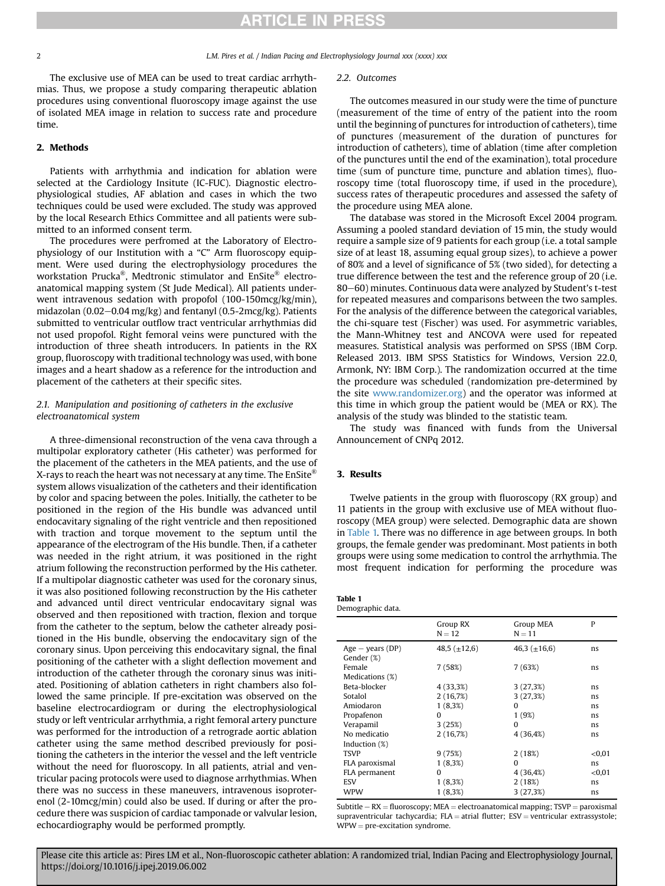2 L.M. Pires et al. / Indian Pacing and Electrophysiology Journal xxx (xxxx) xxx

The exclusive use of MEA can be used to treat cardiac arrhythmias. Thus, we propose a study comparing therapeutic ablation procedures using conventional fluoroscopy image against the use of isolated MEA image in relation to success rate and procedure time.

# 2. Methods

Patients with arrhythmia and indication for ablation were selected at the Cardiology Insitute (IC-FUC). Diagnostic electrophysiological studies, AF ablation and cases in which the two techniques could be used were excluded. The study was approved by the local Research Ethics Committee and all patients were submitted to an informed consent term.

The procedures were perfromed at the Laboratory of Electrophysiology of our Institution with a "C" Arm fluoroscopy equipment. Were used during the electrophysiology procedures the workstation Prucka®, Medtronic stimulator and EnSite® electroanatomical mapping system (St Jude Medical). All patients underwent intravenous sedation with propofol (100-150mcg/kg/min), midazolan (0.02–0.04 mg/kg) and fentanyl (0.5-2mcg/kg). Patients submitted to ventricular outflow tract ventricular arrhythmias did not used propofol. Right femoral veins were punctured with the introduction of three sheath introducers. In patients in the RX group, fluoroscopy with traditional technology was used, with bone images and a heart shadow as a reference for the introduction and placement of the catheters at their specific sites.

# 2.1. Manipulation and positioning of catheters in the exclusive electroanatomical system

A three-dimensional reconstruction of the vena cava through a multipolar exploratory catheter (His catheter) was performed for the placement of the catheters in the MEA patients, and the use of X-rays to reach the heart was not necessary at any time. The  $EnSite^{\circledR}$ system allows visualization of the catheters and their identification by color and spacing between the poles. Initially, the catheter to be positioned in the region of the His bundle was advanced until endocavitary signaling of the right ventricle and then repositioned with traction and torque movement to the septum until the appearance of the electrogram of the His bundle. Then, if a catheter was needed in the right atrium, it was positioned in the right atrium following the reconstruction performed by the His catheter. If a multipolar diagnostic catheter was used for the coronary sinus, it was also positioned following reconstruction by the His catheter and advanced until direct ventricular endocavitary signal was observed and then repositioned with traction, flexion and torque from the catheter to the septum, below the catheter already positioned in the His bundle, observing the endocavitary sign of the coronary sinus. Upon perceiving this endocavitary signal, the final positioning of the catheter with a slight deflection movement and introduction of the catheter through the coronary sinus was initiated. Positioning of ablation catheters in right chambers also followed the same principle. If pre-excitation was observed on the baseline electrocardiogram or during the electrophysiological study or left ventricular arrhythmia, a right femoral artery puncture was performed for the introduction of a retrograde aortic ablation catheter using the same method described previously for positioning the catheters in the interior the vessel and the left ventricle without the need for fluoroscopy. In all patients, atrial and ventricular pacing protocols were used to diagnose arrhythmias. When there was no success in these maneuvers, intravenous isoproterenol (2-10mcg/min) could also be used. If during or after the procedure there was suspicion of cardiac tamponade or valvular lesion, echocardiography would be performed promptly.

### 2.2. Outcomes

The outcomes measured in our study were the time of puncture (measurement of the time of entry of the patient into the room until the beginning of punctures for introduction of catheters), time of punctures (measurement of the duration of punctures for introduction of catheters), time of ablation (time after completion of the punctures until the end of the examination), total procedure time (sum of puncture time, puncture and ablation times), fluoroscopy time (total fluoroscopy time, if used in the procedure), success rates of therapeutic procedures and assessed the safety of the procedure using MEA alone.

The database was stored in the Microsoft Excel 2004 program. Assuming a pooled standard deviation of 15 min, the study would require a sample size of 9 patients for each group (i.e. a total sample size of at least 18, assuming equal group sizes), to achieve a power of 80% and a level of significance of 5% (two sided), for detecting a true difference between the test and the reference group of 20 (i.e. 80–60) minutes. Continuous data were analyzed by Student's t-test for repeated measures and comparisons between the two samples. For the analysis of the difference between the categorical variables, the chi-square test (Fischer) was used. For asymmetric variables, the Mann-Whitney test and ANCOVA were used for repeated measures. Statistical analysis was performed on SPSS (IBM Corp. Released 2013. IBM SPSS Statistics for Windows, Version 22.0, Armonk, NY: IBM Corp.). The randomization occurred at the time the procedure was scheduled (randomization pre-determined by the site [www.randomizer.org](http://www.randomizer.org)) and the operator was informed at this time in which group the patient would be (MEA or RX). The analysis of the study was blinded to the statistic team.

The study was financed with funds from the Universal Announcement of CNPq 2012.

# 3. Results

Twelve patients in the group with fluoroscopy (RX group) and 11 patients in the group with exclusive use of MEA without fluoroscopy (MEA group) were selected. Demographic data are shown in Table 1. There was no difference in age between groups. In both groups, the female gender was predominant. Most patients in both groups were using some medication to control the arrhythmia. The most frequent indication for performing the procedure was

| Table 1           |
|-------------------|
| Demographic data. |

| Group RX<br>$N = 12$ |                   | Group MEA<br>$N = 11$ | P      |
|----------------------|-------------------|-----------------------|--------|
| $Age - years (DP)$   | 48,5 $(\pm 12.6)$ | 46,3 $(\pm 16, 6)$    | ns     |
| Gender (%)           |                   |                       |        |
| Female               | 7 (58%)           | 7(63%)                | ns     |
| Medications (%)      |                   |                       |        |
| Beta-blocker         | 4 (33,3%)         | 3(27,3%)              | ns     |
| Sotalol              | 2(16,7%)          | 3(27,3%)              | ns     |
| Amiodaron            | $1(8,3\%)$        | 0                     | ns     |
| Propafenon           | <sup>0</sup>      | 1 (9%)                | ns     |
| Verapamil            | 3(25%)            | $\Omega$              | ns     |
| No medicatio         | 2(16,7%)          | 4 (36,4%)             | ns     |
| Induction (%)        |                   |                       |        |
| <b>TSVP</b>          | 9(75%)            | 2(18%)                | < 0.01 |
| FLA paroxismal       | $1(8,3\%)$        | 0                     | ns     |
| FLA permanent        | 0                 | 4 (36,4%)             | < 0.01 |
| ESV                  | $1(8,3\%)$        | 2(18%)                | ns     |
| WPW                  | $1(8,3\%)$        | 3(27,3%)              | ns     |

Subtitle  $-RX =$  fluoroscopy; MEA = electroanatomical mapping; TSVP = paroxismal supraventricular tachycardia;  $FLA = \text{atrial flutter}$ ;  $ESV = \text{ventricular extrassystole}$ ;  $WPW = pre-excitation syndrome.$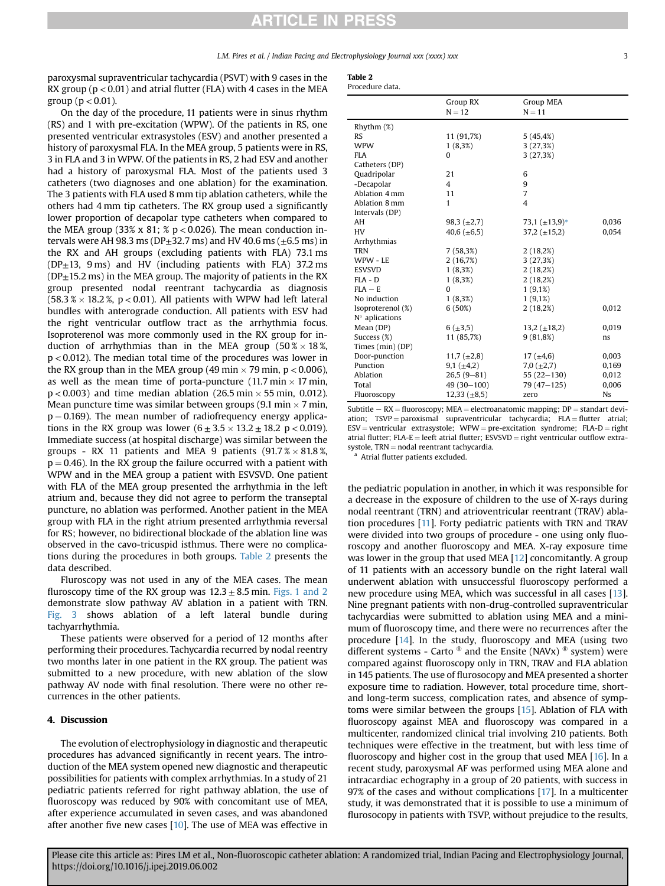L.M. Pires et al. / Indian Pacing and Electrophysiology Journal xxx (xxxx) xxx 33

paroxysmal supraventricular tachycardia (PSVT) with 9 cases in the RX group ( $p < 0.01$ ) and atrial flutter (FLA) with 4 cases in the MEA group ( $p < 0.01$ ).

On the day of the procedure, 11 patients were in sinus rhythm (RS) and 1 with pre-excitation (WPW). Of the patients in RS, one presented ventricular extrasystoles (ESV) and another presented a history of paroxysmal FLA. In the MEA group, 5 patients were in RS, 3 in FLA and 3 in WPW. Of the patients in RS, 2 had ESV and another had a history of paroxysmal FLA. Most of the patients used 3 catheters (two diagnoses and one ablation) for the examination. The 3 patients with FLA used 8 mm tip ablation catheters, while the others had 4 mm tip catheters. The RX group used a significantly lower proportion of decapolar type catheters when compared to the MEA group (33% x 81; %  $p < 0.026$ ). The mean conduction intervals were AH 98.3 ms (DP $\pm$ 32.7 ms) and HV 40.6 ms ( $\pm$ 6.5 ms) in the RX and AH groups (excluding patients with FLA) 73.1 ms ( $DP<sub>±</sub>13$ , 9 ms) and HV (including patients with FLA) 37.2 ms  $(DP<sub>±</sub>15.2 \text{ ms})$  in the MEA group. The majority of patients in the RX group presented nodal reentrant tachycardia as diagnosis  $(58.3\% \times 18.2\%$ , p < 0.01). All patients with WPW had left lateral bundles with anterograde conduction. All patients with ESV had the right ventricular outflow tract as the arrhythmia focus. Isoproterenol was more commonly used in the RX group for induction of arrhythmias than in the MEA group  $(50\% \times 18\%)$ p < 0.012). The median total time of the procedures was lower in the RX group than in the MEA group (49 min  $\times$  79 min, p  $<$  0.006), as well as the mean time of porta-puncture (11.7 min  $\times$  17 min,  $p < 0.003$ ) and time median ablation (26.5 min  $\times$  55 min, 0.012). Mean puncture time was similar between groups (9.1 min  $\times$  7 min,  $p = 0.169$ ). The mean number of radiofrequency energy applications in the RX group was lower  $(6 \pm 3.5 \times 13.2 \pm 18.2 \text{ p} < 0.019)$ . Immediate success (at hospital discharge) was similar between the groups - RX 11 patients and MEA 9 patients  $(91.7\% \times 81.8\%)$  $p = 0.46$ ). In the RX group the failure occurred with a patient with WPW and in the MEA group a patient with ESVSVD. One patient with FLA of the MEA group presented the arrhythmia in the left atrium and, because they did not agree to perform the transeptal puncture, no ablation was performed. Another patient in the MEA group with FLA in the right atrium presented arrhythmia reversal for RS; however, no bidirectional blockade of the ablation line was observed in the cavo-tricuspid isthmus. There were no complications during the procedures in both groups. Table 2 presents the data described.

Fluroscopy was not used in any of the MEA cases. The mean fluroscopy time of the RX group was  $12.3 \pm 8.5$  min. [Figs. 1 and 2](#page-3-0) demonstrate slow pathway AV ablation in a patient with TRN. [Fig. 3](#page-4-0) shows ablation of a left lateral bundle during tachyarrhythmia.

These patients were observed for a period of 12 months after performing their procedures. Tachycardia recurred by nodal reentry two months later in one patient in the RX group. The patient was submitted to a new procedure, with new ablation of the slow pathway AV node with final resolution. There were no other recurrences in the other patients.

### 4. Discussion

The evolution of electrophysiology in diagnostic and therapeutic procedures has advanced significantly in recent years. The introduction of the MEA system opened new diagnostic and therapeutic possibilities for patients with complex arrhythmias. In a study of 21 pediatric patients referred for right pathway ablation, the use of fluoroscopy was reduced by 90% with concomitant use of MEA, after experience accumulated in seven cases, and was abandoned after another five new cases [\[10](#page-5-0)]. The use of MEA was effective in

| Table<br><br>$\sim$ |  |
|---------------------|--|
|                     |  |

| Procedure data. |  |
|-----------------|--|

|                           | Group RX<br>$N = 12$ | <b>Group MEA</b><br>$N = 11$ |           |
|---------------------------|----------------------|------------------------------|-----------|
| $R$ hythm $(\%)$          |                      |                              |           |
| <b>RS</b>                 | 11 (91,7%)           | 5(45, 4%)                    |           |
| <b>WPW</b>                | $1(8,3\%)$           | 3(27,3%)                     |           |
| <b>FLA</b>                | 0                    | 3(27,3%)                     |           |
| Catheters (DP)            |                      |                              |           |
| Quadripolar               | 21                   | 6                            |           |
| -Decapolar                | 4                    | 9                            |           |
| Ablation 4 mm             | 11                   | $\overline{7}$               |           |
| Ablation 8 mm             | $\mathbf{1}$         | $\overline{4}$               |           |
| Intervals (DP)            |                      |                              |           |
| AH                        | 98,3 $(\pm 2,7)$     | 73,1 $(\pm 13.9)^*$          | 0.036     |
| HV                        | 40,6 $(\pm 6.5)$     | $37,2 \ (\pm 15,2)$          | 0,054     |
| Arrhythmias               |                      |                              |           |
| <b>TRN</b>                | 7(58,3%)             | 2(18,2%)                     |           |
| WPW - LE                  | 2(16,7%)             | 3(27,3%)                     |           |
| <b>ESVSVD</b>             | 1(8,3%)              | 2(18,2%)                     |           |
| $FLA - D$                 | 1(8,3%)              | 2(18,2%)                     |           |
| $FIA - E$                 | $\Omega$             | $1(9,1\%)$                   |           |
| No induction              | $1(8,3\%)$           | $1(9,1\%)$                   |           |
| Isoproterenol (%)         | 6(50%)               | 2(18,2%)                     | 0,012     |
| $N°$ aplications          |                      |                              |           |
| Mean (DP)                 | $6 (+3,5)$           | $13,2 \ (\pm 18,2)$          | 0,019     |
| Success (%)<br>11 (85,7%) |                      | 9(81,8%)                     | ns        |
| Times (min) (DP)          |                      |                              |           |
| Door-punction             | 11,7 $(\pm 2.8)$     | 17 $(\pm 4.6)$               | 0,003     |
| Punction                  | 9,1 $(\pm 4,2)$      | 7,0 $(\pm 2,7)$              | 0,169     |
| Ablation                  | $26,5(9-81)$         | $55(22-130)$                 | 0,012     |
| Total                     | $49(30-100)$         | 79 (47-125)                  | 0,006     |
| Fluoroscopy               | $12,33 \ (\pm 8,5)$  | zero                         | <b>Ns</b> |

Subtitle  $- RX =$  fluoroscopy; MEA = electroanatomic mapping; DP = standart deviation;  $TSVP =$  paroxismal supraventricular tachycardia;  $FLA = flutter$  atrial;  $ESV =$  ventricular extrasystole; WPW = pre-excitation syndrome; FLA-D = right atrial flutter; FLA-E = leeft atrial flutter; ESVSVD = right ventricular outflow extra-<br>systole, TRN = nodal reentrant tachycardia.

<sup>a</sup> Atrial flutter patients excluded.

the pediatric population in another, in which it was responsible for a decrease in the exposure of children to the use of X-rays during nodal reentrant (TRN) and atrioventricular reentrant (TRAV) ablation procedures [\[11](#page-5-0)]. Forty pediatric patients with TRN and TRAV were divided into two groups of procedure - one using only fluoroscopy and another fluoroscopy and MEA. X-ray exposure time was lower in the group that used MEA [[12\]](#page-5-0) concomitantly. A group of 11 patients with an accessory bundle on the right lateral wall underwent ablation with unsuccessful fluoroscopy performed a new procedure using MEA, which was successful in all cases [[13\]](#page-5-0). Nine pregnant patients with non-drug-controlled supraventricular tachycardias were submitted to ablation using MEA and a minimum of fluoroscopy time, and there were no recurrences after the procedure [\[14](#page-5-0)]. In the study, fluoroscopy and MEA (using two different systems - Carto  $\infty$  and the Ensite (NAVx)  $\infty$  system) were compared against fluoroscopy only in TRN, TRAV and FLA ablation in 145 patients. The use of flurosocopy and MEA presented a shorter exposure time to radiation. However, total procedure time, shortand long-term success, complication rates, and absence of symptoms were similar between the groups [[15\]](#page-5-0). Ablation of FLA with fluoroscopy against MEA and fluoroscopy was compared in a multicenter, randomized clinical trial involving 210 patients. Both techniques were effective in the treatment, but with less time of fluoroscopy and higher cost in the group that used MEA [[16\]](#page-5-0). In a recent study, paroxysmal AF was performed using MEA alone and intracardiac echography in a group of 20 patients, with success in 97% of the cases and without complications [[17](#page-5-0)]. In a multicenter study, it was demonstrated that it is possible to use a minimum of flurosocopy in patients with TSVP, without prejudice to the results,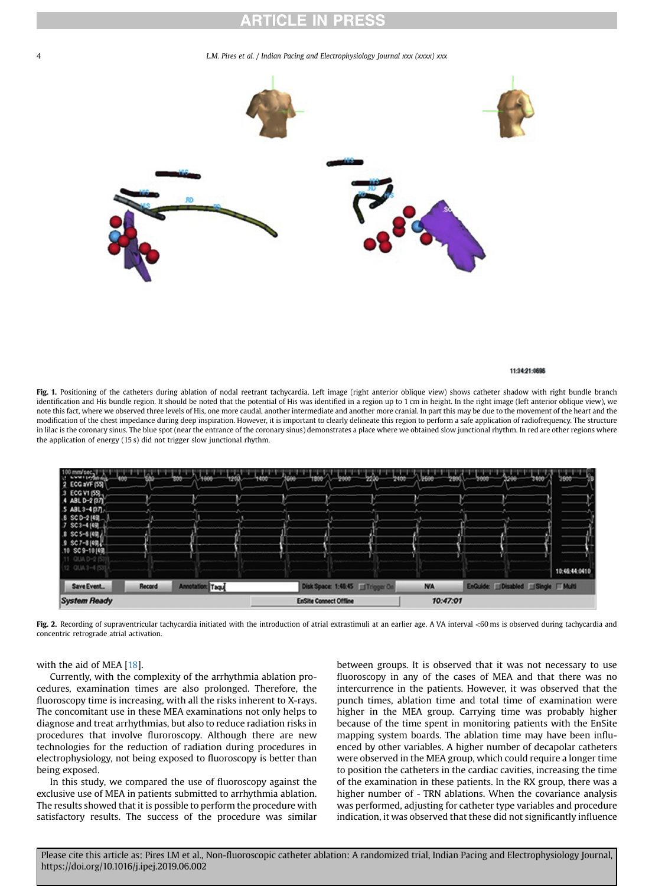#### 4 L.M. Pires et al. / Indian Pacing and Electrophysiology Journal xxx (xxxx) xxx

<span id="page-3-0"></span>

#### 11:34:21-0696

Fig. 1. Positioning of the catheters during ablation of nodal reetrant tachycardia. Left image (right anterior oblique view) shows catheter shadow with right bundle branch identification and His bundle region. It should be noted that the potential of His was identified in a region up to 1 cm in height. In the right image (left anterior oblique view), we note this fact, where we observed three levels of His, one more caudal, another intermediate and another more cranial. In part this may be due to the movement of the heart and the modification of the chest impedance during deep inspiration. However, it is important to clearly delineate this region to perform a safe application of radiofrequency. The structure in lilac is the coronary sinus. The blue spot (near the entrance of the coronary sinus) demonstrates a place where we obtained slow junctional rhythm. In red are other regions where the application of energy (15 s) did not trigger slow junctional rhythm.



Fig. 2. Recording of supraventricular tachycardia initiated with the introduction of atrial extrastimuli at an earlier age. A VA interval <60 ms is observed during tachycardia and concentric retrograde atrial activation.

### with the aid of MEA [[18\]](#page-5-0).

Currently, with the complexity of the arrhythmia ablation procedures, examination times are also prolonged. Therefore, the fluoroscopy time is increasing, with all the risks inherent to X-rays. The concomitant use in these MEA examinations not only helps to diagnose and treat arrhythmias, but also to reduce radiation risks in procedures that involve fluroroscopy. Although there are new technologies for the reduction of radiation during procedures in electrophysiology, not being exposed to fluoroscopy is better than being exposed.

In this study, we compared the use of fluoroscopy against the exclusive use of MEA in patients submitted to arrhythmia ablation. The results showed that it is possible to perform the procedure with satisfactory results. The success of the procedure was similar between groups. It is observed that it was not necessary to use fluoroscopy in any of the cases of MEA and that there was no intercurrence in the patients. However, it was observed that the punch times, ablation time and total time of examination were higher in the MEA group. Carrying time was probably higher because of the time spent in monitoring patients with the EnSite mapping system boards. The ablation time may have been influenced by other variables. A higher number of decapolar catheters were observed in the MEA group, which could require a longer time to position the catheters in the cardiac cavities, increasing the time of the examination in these patients. In the RX group, there was a higher number of - TRN ablations. When the covariance analysis was performed, adjusting for catheter type variables and procedure indication, it was observed that these did not significantly influence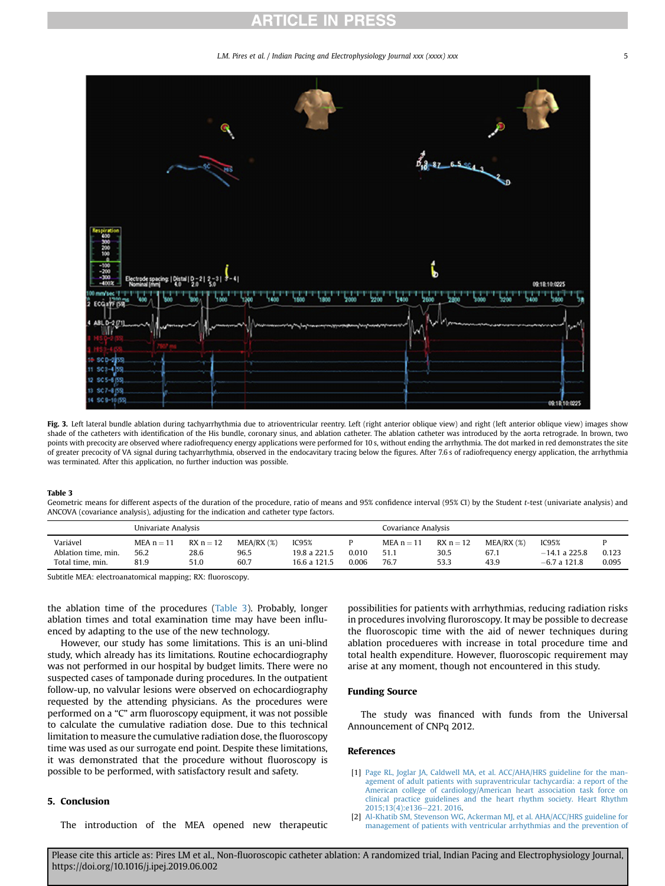L.M. Pires et al. / Indian Pacing and Electrophysiology Journal xxx (xxxx) xxx 5

<span id="page-4-0"></span>

Fig. 3. Left lateral bundle ablation during tachyarrhythmia due to atrioventricular reentry. Left (right anterior oblique view) and right (left anterior oblique view) images show shade of the catheters with identification of the His bundle, coronary sinus, and ablation catheter. The ablation catheter was introduced by the aorta retrograde. In brown, two points with precocity are observed where radiofrequency energy applications were performed for 10 s, without ending the arrhythmia. The dot marked in red demonstrates the site of greater precocity of VA signal during tachyarrhythmia, observed in the endocavitary tracing below the figures. After 7.6 s of radiofrequency energy application, the arrhythmia was terminated. After this application, no further induction was possible.

#### Table 3

Geometric means for different aspects of the duration of the procedure, ratio of means and 95% confidence interval (95% CI) by the Student t-test (univariate analysis) and ANCOVA (covariance analysis), adjusting for the indication and catheter type factors.

|                                                     | Univariate Analysis          |                             |                                 |                                       | Covariance Analysis |                              |                             |                            |                                            |                |
|-----------------------------------------------------|------------------------------|-----------------------------|---------------------------------|---------------------------------------|---------------------|------------------------------|-----------------------------|----------------------------|--------------------------------------------|----------------|
| Variável<br>Ablation time, min.<br>Total time, min. | MEA $n = 11$<br>56.2<br>81.9 | $RX_n = 12$<br>28.6<br>51.0 | $MEA/RX$ $(\%)$<br>96.5<br>60.7 | IC95%<br>19.8 a 221.5<br>16.6 a 121.5 | 0.010<br>0.006      | $MEA n = 11$<br>51.1<br>76.7 | $RX_n = 12$<br>30.5<br>53.3 | MEA/RX (%)<br>67.1<br>43.9 | IC95%<br>$-14.1$ a 225.8<br>$-6.7$ a 121.8 | 0.123<br>0.095 |

Subtitle MEA: electroanatomical mapping; RX: fluoroscopy.

the ablation time of the procedures (Table 3). Probably, longer ablation times and total examination time may have been influenced by adapting to the use of the new technology.

However, our study has some limitations. This is an uni-blind study, which already has its limitations. Routine echocardiography was not performed in our hospital by budget limits. There were no suspected cases of tamponade during procedures. In the outpatient follow-up, no valvular lesions were observed on echocardiography requested by the attending physicians. As the procedures were performed on a "C" arm fluoroscopy equipment, it was not possible to calculate the cumulative radiation dose. Due to this technical limitation to measure the cumulative radiation dose, the fluoroscopy time was used as our surrogate end point. Despite these limitations, it was demonstrated that the procedure without fluoroscopy is possible to be performed, with satisfactory result and safety.

# 5. Conclusion

The introduction of the MEA opened new therapeutic

possibilities for patients with arrhythmias, reducing radiation risks in procedures involving fluroroscopy. It may be possible to decrease the fluoroscopic time with the aid of newer techniques during ablation procedueres with increase in total procedure time and total health expenditure. However, fluoroscopic requirement may arise at any moment, though not encountered in this study.

# Funding Source

The study was financed with funds from the Universal Announcement of CNPq 2012.

### References

- [1] [Page RL, Joglar JA, Caldwell MA, et al. ACC/AHA/HRS guideline for the man](http://refhub.elsevier.com/S0972-6292(18)30225-0/sref1)[agement of adult patients with supraventricular tachycardia: a report of the](http://refhub.elsevier.com/S0972-6292(18)30225-0/sref1) [American college of cardiology/American heart association task force on](http://refhub.elsevier.com/S0972-6292(18)30225-0/sref1) [clinical practice guidelines and the heart rhythm society. Heart Rhythm](http://refhub.elsevier.com/S0972-6292(18)30225-0/sref1) 2015:13(4):e136-[221. 2016](http://refhub.elsevier.com/S0972-6292(18)30225-0/sref1).
- [2] [Al-Khatib SM, Stevenson WG, Ackerman MJ, et al. AHA/ACC/HRS guideline for](http://refhub.elsevier.com/S0972-6292(18)30225-0/sref2) [management of patients with ventricular arrhythmias and the prevention of](http://refhub.elsevier.com/S0972-6292(18)30225-0/sref2)